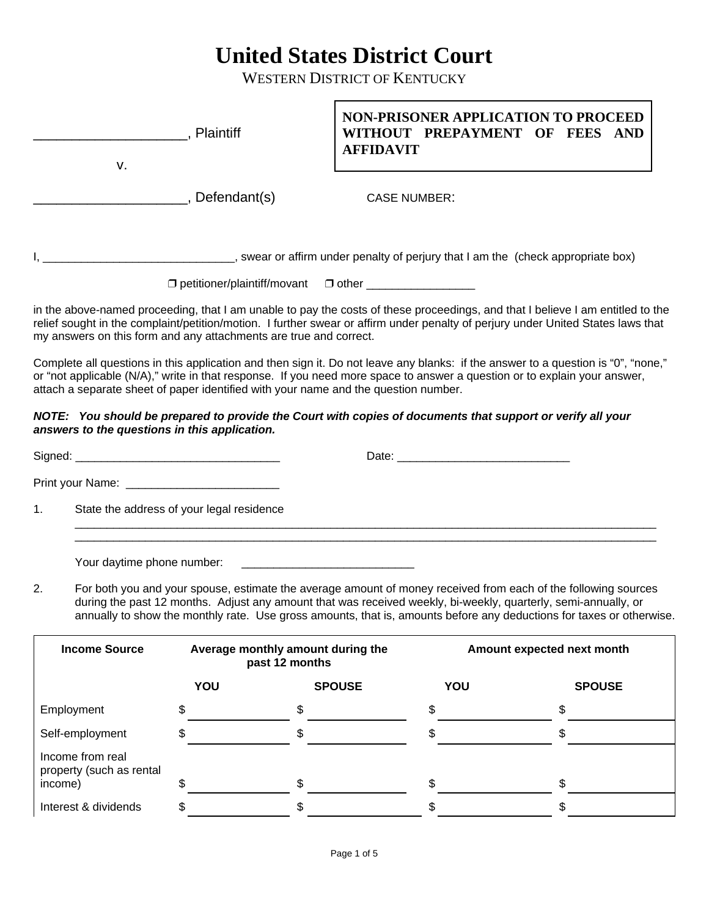## **United States District Court**

WESTERN DISTRICT OF KENTUCKY

|    | v.                         | Plaintiff                                                                                                                                                   | <b>AFFIDAVIT</b>                                                                                                     |                     | <b>NON-PRISONER APPLICATION TO PROCEED</b><br>WITHOUT PREPAYMENT OF FEES AND                                                                                                                                                                                                                                                                             |
|----|----------------------------|-------------------------------------------------------------------------------------------------------------------------------------------------------------|----------------------------------------------------------------------------------------------------------------------|---------------------|----------------------------------------------------------------------------------------------------------------------------------------------------------------------------------------------------------------------------------------------------------------------------------------------------------------------------------------------------------|
|    |                            | _, Defendant(s)                                                                                                                                             |                                                                                                                      | <b>CASE NUMBER:</b> |                                                                                                                                                                                                                                                                                                                                                          |
|    |                            |                                                                                                                                                             | □ petitioner/plaintiff/movant □ other _________________                                                              |                     |                                                                                                                                                                                                                                                                                                                                                          |
|    |                            | my answers on this form and any attachments are true and correct.                                                                                           |                                                                                                                      |                     | in the above-named proceeding, that I am unable to pay the costs of these proceedings, and that I believe I am entitled to the<br>relief sought in the complaint/petition/motion. I further swear or affirm under penalty of perjury under United States laws that                                                                                       |
|    |                            | attach a separate sheet of paper identified with your name and the question number.                                                                         |                                                                                                                      |                     | Complete all questions in this application and then sign it. Do not leave any blanks: if the answer to a question is "0", "none,"<br>or "not applicable (N/A)," write in that response. If you need more space to answer a question or to explain your answer,                                                                                           |
|    |                            | NOTE: You should be prepared to provide the Court with copies of documents that support or verify all your<br>answers to the questions in this application. |                                                                                                                      |                     |                                                                                                                                                                                                                                                                                                                                                          |
|    |                            |                                                                                                                                                             |                                                                                                                      |                     |                                                                                                                                                                                                                                                                                                                                                          |
|    |                            |                                                                                                                                                             |                                                                                                                      |                     |                                                                                                                                                                                                                                                                                                                                                          |
| 1. |                            | State the address of your legal residence                                                                                                                   |                                                                                                                      |                     |                                                                                                                                                                                                                                                                                                                                                          |
| 2. | Your daytime phone number: |                                                                                                                                                             | <u> 1980 - John Barnett, fransk konge og det ble større og det ble større og det ble større og det ble større og</u> |                     | For both you and your spouse, estimate the average amount of money received from each of the following sources<br>during the past 12 months. Adjust any amount that was received weekly, bi-weekly, quarterly, semi-annually, or<br>annually to show the monthly rate. Use gross amounts, that is, amounts before any deductions for taxes or otherwise. |
|    | <b>Income Source</b>       |                                                                                                                                                             | Average monthly amount during the<br>past 12 months                                                                  |                     | Amount expected next month                                                                                                                                                                                                                                                                                                                               |
|    |                            | YOU                                                                                                                                                         | <b>SPOUSE</b>                                                                                                        | YOU                 | <b>SPOUSE</b>                                                                                                                                                                                                                                                                                                                                            |
|    | Employment                 | \$                                                                                                                                                          | \$                                                                                                                   | \$                  | \$                                                                                                                                                                                                                                                                                                                                                       |
|    | Self-employment            | \$                                                                                                                                                          | \$                                                                                                                   | \$                  | \$                                                                                                                                                                                                                                                                                                                                                       |
|    | Income from real           |                                                                                                                                                             |                                                                                                                      |                     |                                                                                                                                                                                                                                                                                                                                                          |

Interest & dividends  $\qquad \qquad \text{\$}$   $\qquad \qquad$   $\qquad \qquad$   $\qquad \qquad$   $\qquad \qquad$   $\qquad \qquad$   $\qquad \qquad$   $\qquad \qquad$   $\qquad \qquad$   $\qquad \qquad$   $\qquad$ 

income) \$ \$ \$ \$

property (such as rental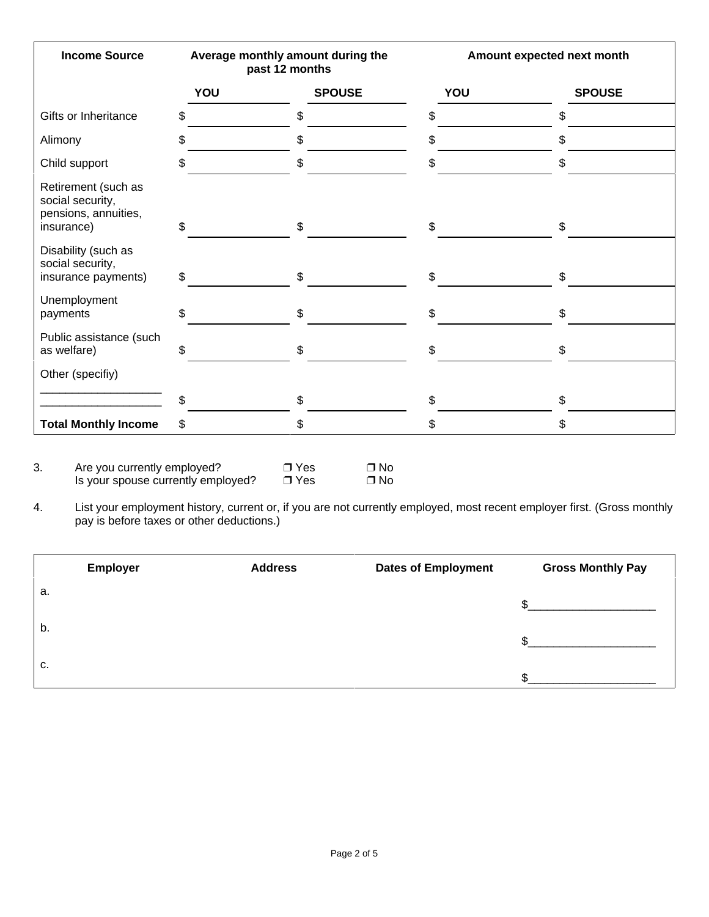| <b>Income Source</b>                                                          | Average monthly amount during the<br>past 12 months |               | Amount expected next month |               |
|-------------------------------------------------------------------------------|-----------------------------------------------------|---------------|----------------------------|---------------|
|                                                                               | YOU                                                 | <b>SPOUSE</b> | YOU                        | <b>SPOUSE</b> |
| Gifts or Inheritance                                                          | \$                                                  | \$            | \$                         | \$            |
| Alimony                                                                       | \$                                                  | \$            | \$                         | \$            |
| Child support                                                                 | \$                                                  | \$            | \$                         | \$            |
| Retirement (such as<br>social security,<br>pensions, annuities,<br>insurance) | \$                                                  | \$            | \$                         | \$            |
| Disability (such as<br>social security,<br>insurance payments)                | \$                                                  | \$            | \$                         | \$            |
| Unemployment<br>payments                                                      | \$                                                  | \$            | \$                         | \$            |
| Public assistance (such<br>as welfare)                                        | \$                                                  | \$            | \$                         | \$            |
| Other (specifiy)                                                              |                                                     |               |                            |               |
|                                                                               | \$                                                  | \$            | \$                         | \$            |
| <b>Total Monthly Income</b>                                                   | \$                                                  | \$            | \$                         | \$            |

4. List your employment history, current or, if you are not currently employed, most recent employer first. (Gross monthly pay is before taxes or other deductions.)

|    | <b>Employer</b> | <b>Address</b> | <b>Dates of Employment</b> | <b>Gross Monthly Pay</b> |
|----|-----------------|----------------|----------------------------|--------------------------|
| a. |                 |                |                            |                          |
| b. |                 |                |                            |                          |
| C. |                 |                |                            |                          |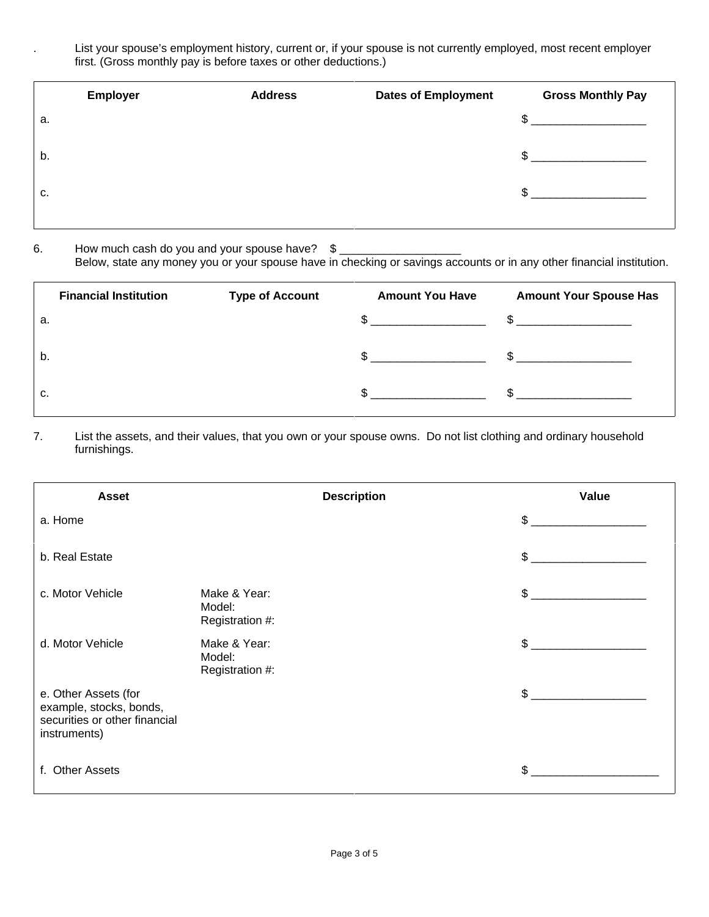List your spouse's employment history, current or, if your spouse is not currently employed, most recent employer first. (Gross monthly pay is before taxes or other deductions.)

|    | <b>Employer</b> | <b>Address</b> | <b>Dates of Employment</b> | <b>Gross Monthly Pay</b> |
|----|-----------------|----------------|----------------------------|--------------------------|
| а. |                 |                |                            | \$                       |
| b. |                 |                |                            | \$                       |
| С. |                 |                |                            | \$                       |
|    |                 |                |                            |                          |

## 6. How much cash do you and your spouse have?  $\frac{1}{2}$

Below, state any money you or your spouse have in checking or savings accounts or in any other financial institution.

|    | <b>Financial Institution</b> | <b>Type of Account</b> | <b>Amount You Have</b>                       | <b>Amount Your Spouse Has</b> |
|----|------------------------------|------------------------|----------------------------------------------|-------------------------------|
| а. |                              |                        | the control of the control of the control of | $\mathbb{S}$                  |
| b. |                              |                        |                                              | $\mathbb{S}$                  |
| С. |                              |                        |                                              |                               |

7. List the assets, and their values, that you own or your spouse owns. Do not list clothing and ordinary household furnishings.

| <b>Asset</b>                                                                                     | <b>Description</b>                        | Value         |
|--------------------------------------------------------------------------------------------------|-------------------------------------------|---------------|
| a. Home                                                                                          |                                           | $\mathbb{S}$  |
| b. Real Estate                                                                                   |                                           | $\mathfrak s$ |
| c. Motor Vehicle                                                                                 | Make & Year:<br>Model:<br>Registration #: | \$            |
| d. Motor Vehicle                                                                                 | Make & Year:<br>Model:<br>Registration #: | $\mathbb{S}$  |
| e. Other Assets (for<br>example, stocks, bonds,<br>securities or other financial<br>instruments) |                                           | $\mathfrak s$ |
| f. Other Assets                                                                                  |                                           | \$            |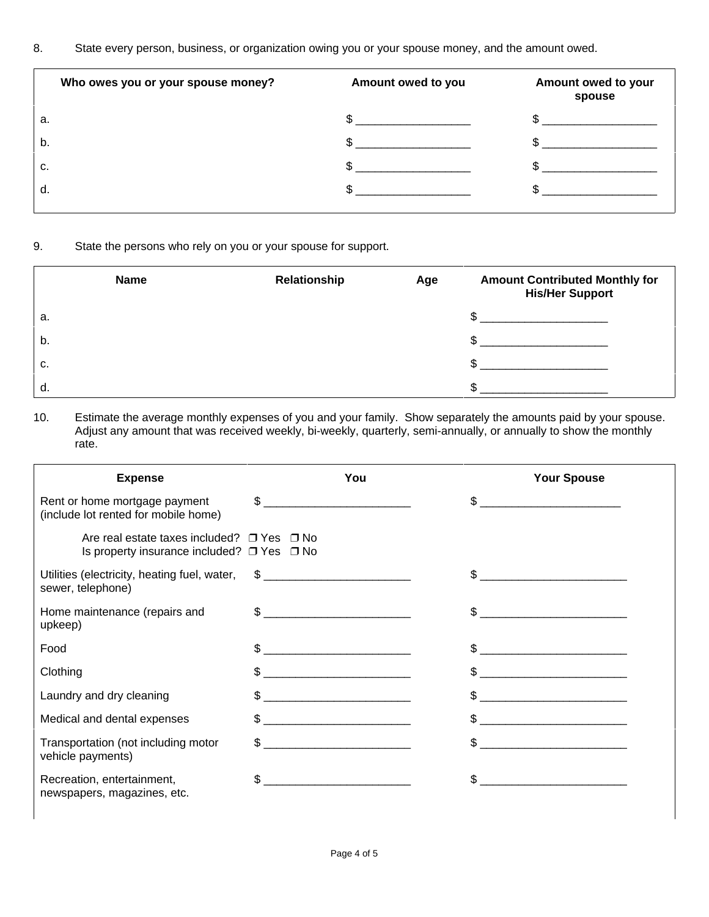8. State every person, business, or organization owing you or your spouse money, and the amount owed.

| Who owes you or your spouse money? | Amount owed to you | Amount owed to your<br>spouse |
|------------------------------------|--------------------|-------------------------------|
| а.                                 |                    |                               |
| b.                                 |                    |                               |
| c.                                 |                    |                               |
| d.                                 |                    |                               |
|                                    |                    |                               |

## 9. State the persons who rely on you or your spouse for support.

|    | Name | Relationship | Age | <b>Amount Contributed Monthly for</b><br><b>His/Her Support</b> |
|----|------|--------------|-----|-----------------------------------------------------------------|
| a. |      |              |     |                                                                 |
| b. |      |              |     |                                                                 |
| c. |      |              |     |                                                                 |
| d. |      |              |     |                                                                 |

## 10. Estimate the average monthly expenses of you and your family. Show separately the amounts paid by your spouse. Adjust any amount that was received weekly, bi-weekly, quarterly, semi-annually, or annually to show the monthly rate.

| <b>Expense</b>                                                                                               | You                                                                                                                                                                                                                                                                                                                                                                 | <b>Your Spouse</b>                                                                                                                                                                                                                                                                                                  |
|--------------------------------------------------------------------------------------------------------------|---------------------------------------------------------------------------------------------------------------------------------------------------------------------------------------------------------------------------------------------------------------------------------------------------------------------------------------------------------------------|---------------------------------------------------------------------------------------------------------------------------------------------------------------------------------------------------------------------------------------------------------------------------------------------------------------------|
| Rent or home mortgage payment<br>(include lot rented for mobile home)                                        | $\begin{picture}(20,10) \put(0,0){\vector(1,0){100}} \put(15,0){\vector(1,0){100}} \put(15,0){\vector(1,0){100}} \put(15,0){\vector(1,0){100}} \put(15,0){\vector(1,0){100}} \put(15,0){\vector(1,0){100}} \put(15,0){\vector(1,0){100}} \put(15,0){\vector(1,0){100}} \put(15,0){\vector(1,0){100}} \put(15,0){\vector(1,0){100}} \put(15,0){\vector(1,0){100}} \$ | $\frac{1}{2}$                                                                                                                                                                                                                                                                                                       |
| Are real estate taxes included? $\Box$ Yes $\Box$ No<br>Is property insurance included? $\Box$ Yes $\Box$ No |                                                                                                                                                                                                                                                                                                                                                                     |                                                                                                                                                                                                                                                                                                                     |
| Utilities (electricity, heating fuel, water, \$ _________________________________<br>sewer, telephone)       |                                                                                                                                                                                                                                                                                                                                                                     |                                                                                                                                                                                                                                                                                                                     |
| Home maintenance (repairs and<br>upkeep)                                                                     | $\mathbb{S}$                                                                                                                                                                                                                                                                                                                                                        |                                                                                                                                                                                                                                                                                                                     |
| Food                                                                                                         | $\frac{1}{2}$                                                                                                                                                                                                                                                                                                                                                       |                                                                                                                                                                                                                                                                                                                     |
| Clothing                                                                                                     | $\frac{1}{2}$                                                                                                                                                                                                                                                                                                                                                       |                                                                                                                                                                                                                                                                                                                     |
| Laundry and dry cleaning                                                                                     | $\frac{1}{2}$                                                                                                                                                                                                                                                                                                                                                       | $\frac{1}{2}$ $\frac{1}{2}$ $\frac{1}{2}$ $\frac{1}{2}$ $\frac{1}{2}$ $\frac{1}{2}$ $\frac{1}{2}$ $\frac{1}{2}$ $\frac{1}{2}$ $\frac{1}{2}$ $\frac{1}{2}$ $\frac{1}{2}$ $\frac{1}{2}$ $\frac{1}{2}$ $\frac{1}{2}$ $\frac{1}{2}$ $\frac{1}{2}$ $\frac{1}{2}$ $\frac{1}{2}$ $\frac{1}{2}$ $\frac{1}{2}$ $\frac{1}{2}$ |
| Medical and dental expenses                                                                                  | $\frac{1}{2}$ $\frac{1}{2}$ $\frac{1}{2}$ $\frac{1}{2}$ $\frac{1}{2}$ $\frac{1}{2}$ $\frac{1}{2}$ $\frac{1}{2}$ $\frac{1}{2}$ $\frac{1}{2}$ $\frac{1}{2}$ $\frac{1}{2}$ $\frac{1}{2}$ $\frac{1}{2}$ $\frac{1}{2}$ $\frac{1}{2}$ $\frac{1}{2}$ $\frac{1}{2}$ $\frac{1}{2}$ $\frac{1}{2}$ $\frac{1}{2}$ $\frac{1}{2}$                                                 |                                                                                                                                                                                                                                                                                                                     |
| Transportation (not including motor<br>vehicle payments)                                                     | $\mathfrak{S}$                                                                                                                                                                                                                                                                                                                                                      | $\textcircled{S}$ <u>______________________</u>                                                                                                                                                                                                                                                                     |
| Recreation, entertainment,<br>newspapers, magazines, etc.                                                    | \$                                                                                                                                                                                                                                                                                                                                                                  | \$.                                                                                                                                                                                                                                                                                                                 |